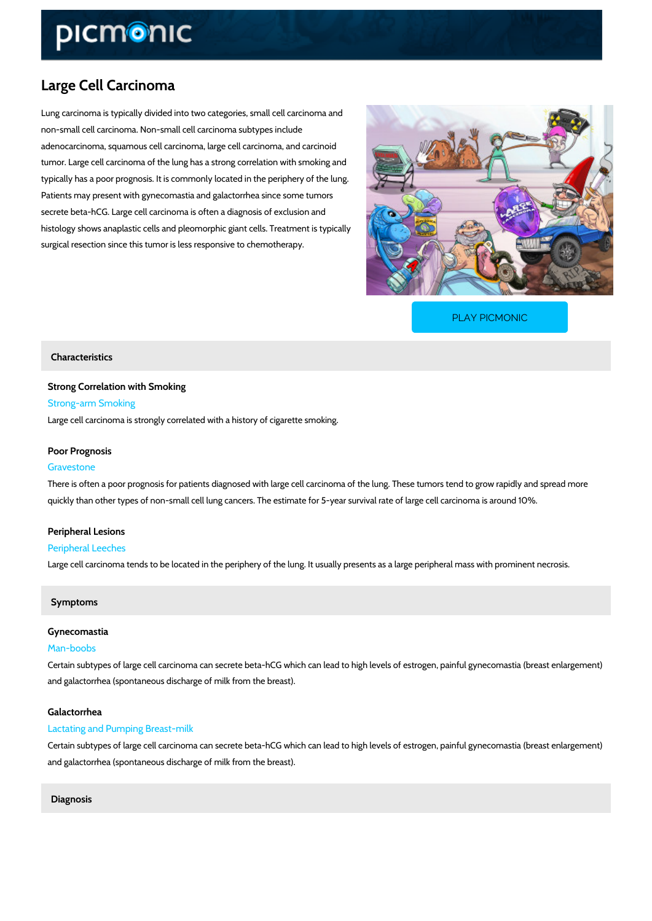# Large Cell Carcinoma

Lung carcinoma is typically divided into two categories, small cell carcinoma and non-small cell carcinoma. Non-small cell carcinoma subtypes include adenocarcinoma, squamous cell carcinoma, large cell carcinoma, and carcinoid tumor. Large cell carcinoma of the lung has a strong correlation with smoking and typically has a poor prognosis. It is commonly located in the periphery of the lung. Patients may present with gynecomastia and galactorrhea since some tumors secrete beta-hCG. Large cell carcinoma is often a diagnosis of exclusion and histology shows anaplastic cells and pleomorphic giant cells. Treatment is typically surgical resection since this tumor is less responsive to chemotherapy.

[PLAY PICMONIC](https://www.picmonic.com/learn/large-cell-carcinoma_1909?utm_source=downloadable_content&utm_medium=distributedcontent&utm_campaign=pathways_pdf&utm_content=Large Cell Carcinoma&utm_ad_group=leads&utm_market=all)

## Characteristics

Strong Correlation with Smoking Strong-arm Smoking Large cell carcinoma is strongly correlated with a history of cigarette smoking.

## Poor Prognosis

#### Gravestone

There is often a poor prognosis for patients diagnosed with large cell carcinoma of the lung. quickly than other types of non-small cell lung cancers. The estimate for 5-year survival rate

## Peripheral Lesions

## Peripheral Leeches

Large cell carcinoma tends to be located in the periphery of the lung. It usually presents as a

#### Symptoms

## Gynecomastia

#### Man-boobs

Certain subtypes of large cell carcinoma can secrete beta-hCG which can lead to high levels of and galactorrhea (spontaneous discharge of milk from the breast).

## Galactorrhea

#### Lactating and Pumping Breast-milk

Certain subtypes of large cell carcinoma can secrete beta-hCG which can lead to high levels of and galactorrhea (spontaneous discharge of milk from the breast).

Diagnosis